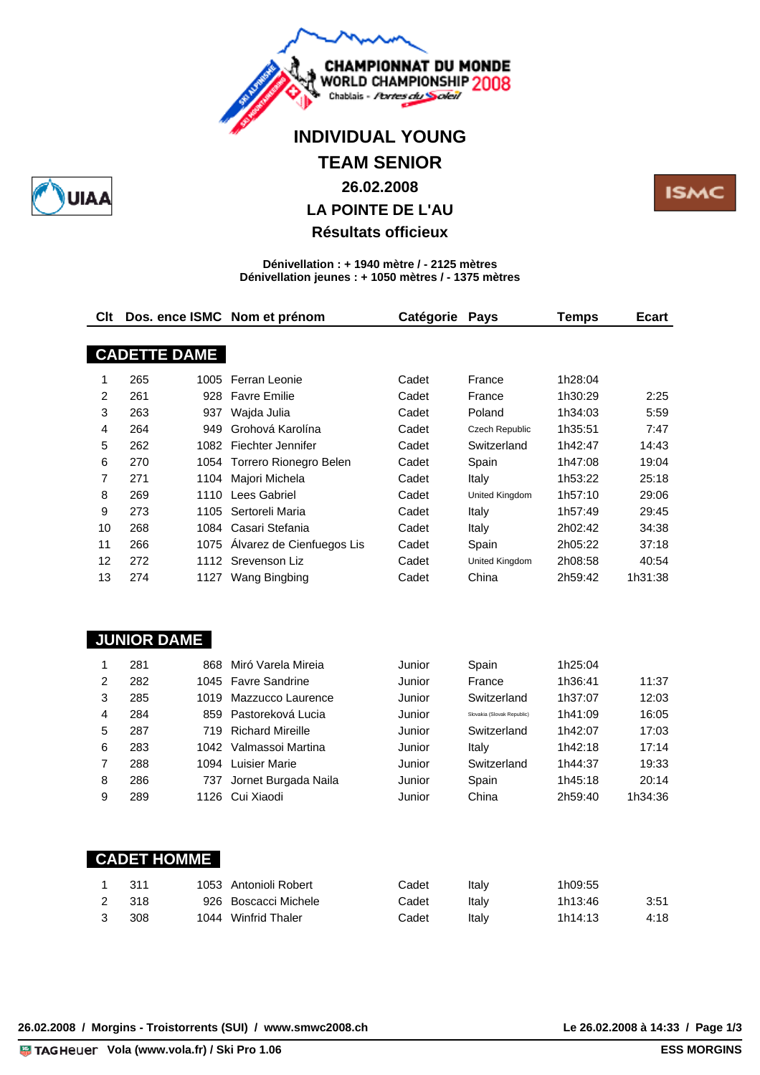

# **INDIVIDUAL YOUNG**

# **TEAM SENIOR**

### **26.02.2008**

## **LA POINTE DE L'AU**

### **Résultats officieux**

#### **Dénivellation : + 1940 mètre / - 2125 mètres Dénivellation jeunes : + 1050 mètres / - 1375 mètres**

| Clt |                     |      | Dos. ence ISMC Nom et prénom | Catégorie | Pays                       | <b>Temps</b> | <b>Ecart</b> |
|-----|---------------------|------|------------------------------|-----------|----------------------------|--------------|--------------|
|     | <b>CADETTE DAME</b> |      |                              |           |                            |              |              |
|     |                     |      |                              |           |                            |              |              |
| 1   | 265                 | 1005 | Ferran Leonie                | Cadet     | France                     | 1h28:04      |              |
| 2   | 261                 | 928  | <b>Favre Emilie</b>          | Cadet     | France                     | 1h30:29      | 2:25         |
| 3   | 263                 | 937  | Wajda Julia                  | Cadet     | Poland                     | 1h34:03      | 5:59         |
| 4   | 264                 | 949  | Grohová Karolína             | Cadet     | Czech Republic             | 1h35:51      | 7:47         |
| 5   | 262                 | 1082 | Fiechter Jennifer            | Cadet     | Switzerland                | 1h42:47      | 14:43        |
| 6   | 270                 | 1054 | Torrero Rionegro Belen       | Cadet     | Spain                      | 1h47:08      | 19:04        |
| 7   | 271                 | 1104 | Majori Michela               | Cadet     | Italy                      | 1h53:22      | 25:18        |
| 8   | 269                 | 1110 | Lees Gabriel                 | Cadet     | United Kingdom             | 1h57:10      | 29:06        |
| 9   | 273                 | 1105 | Sertoreli Maria              | Cadet     | Italy                      | 1h57:49      | 29:45        |
| 10  | 268                 | 1084 | Casari Stefania              | Cadet     | Italy                      | 2h02:42      | 34:38        |
| 11  | 266                 | 1075 | Álvarez de Cienfuegos Lis    | Cadet     | Spain                      | 2h05:22      | 37:18        |
| 12  | 272                 | 1112 | Srevenson Liz                | Cadet     | <b>United Kingdom</b>      | 2h08:58      | 40:54        |
| 13  | 274                 |      | 1127 Wang Bingbing           | Cadet     | China                      | 2h59:42      | 1h31:38      |
|     |                     |      |                              |           |                            |              |              |
|     | <b>JUNIOR DAME</b>  |      |                              |           |                            |              |              |
| 1   | 281                 | 868  | Miró Varela Mireia           | Junior    | Spain                      | 1h25:04      |              |
| 2   | 282                 | 1045 | <b>Favre Sandrine</b>        | Junior    | France                     | 1h36:41      | 11:37        |
| 3   | 285                 | 1019 | Mazzucco Laurence            | Junior    | Switzerland                | 1h37:07      | 12:03        |
| 4   | 284                 | 859  | Pastoreková Lucia            | Junior    | Slovakia (Slovak Republic) | 1h41:09      | 16:05        |
| 5   | 287                 | 719  | <b>Richard Mireille</b>      | Junior    | Switzerland                | 1h42:07      | 17:03        |
| 6   | 283                 | 1042 | Valmassoi Martina            | Junior    | Italy                      | 1h42:18      | 17:14        |
| 7   | 288                 |      | 1094 Luisier Marie           | Junior    | Switzerland                | 1h44:37      | 19:33        |
| 8   | 286                 | 737  | Jornet Burgada Naila         | Junior    | Spain                      | 1h45:18      | 20:14        |
| 9   | 289                 | 1126 | Cui Xiaodi                   | Junior    | China                      | 2h59:40      | 1h34:36      |

| <b>CADET HOMME</b> |  |
|--------------------|--|
|                    |  |
|                    |  |
|                    |  |
|                    |  |
|                    |  |

|    | -311  | 1053 Antonioli Robert | Cadet | Italv | 1h09:55 |      |
|----|-------|-----------------------|-------|-------|---------|------|
|    | 2 318 | 926 Boscacci Michele  | Cadet | Italv | 1h13:46 | 3:51 |
| -3 | 308   | 1044 Winfrid Thaler   | Cadet | Italv | 1h14:13 | 4:18 |

26.02.2008 / Morgins - Troistorrents (SUI) / www.smwc2008.ch

Le 26.02.2008 à 14:33 / Page 1/3<br>**ESS MORGINS** 

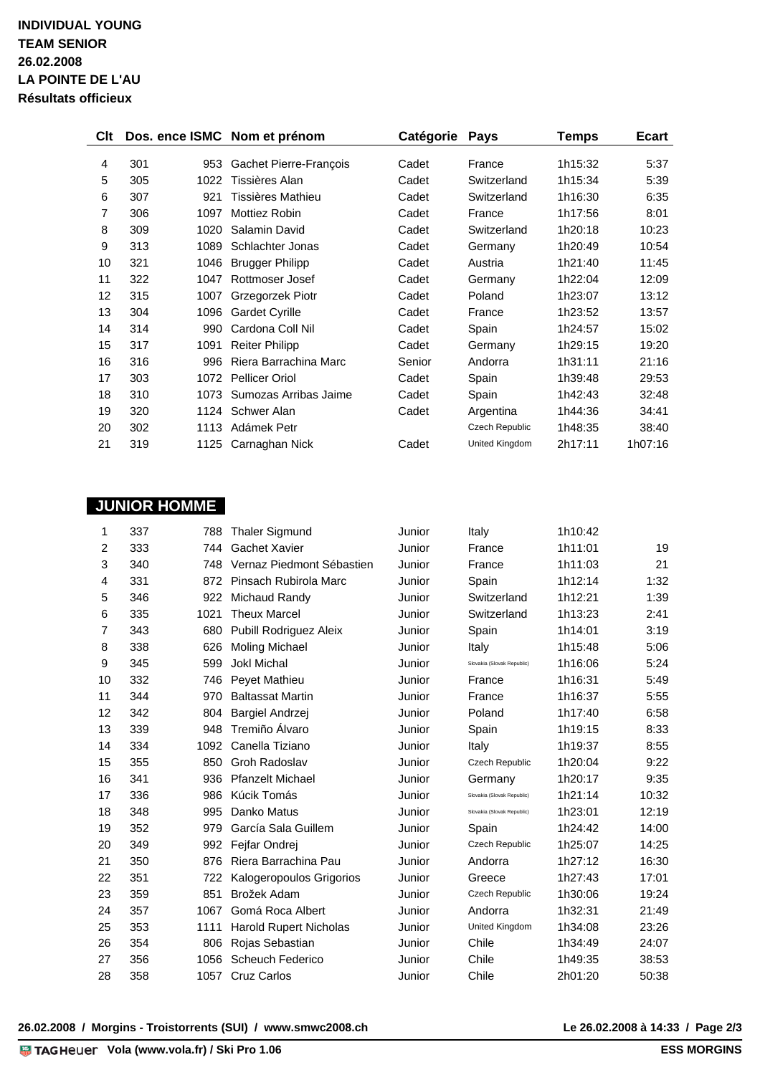| <b>Clt</b> |     |      | Dos. ence ISMC Nom et prénom | Catégorie Pays |                | Temps   | <b>Ecart</b> |
|------------|-----|------|------------------------------|----------------|----------------|---------|--------------|
|            |     |      |                              |                |                |         |              |
| 4          | 301 | 953  | Gachet Pierre-François       | Cadet          | France         | 1h15:32 | 5:37         |
| 5          | 305 | 1022 | Tissières Alan               | Cadet          | Switzerland    | 1h15:34 | 5:39         |
| 6          | 307 | 921  | Tissières Mathieu            | Cadet          | Switzerland    | 1h16:30 | 6:35         |
| 7          | 306 | 1097 | <b>Mottiez Robin</b>         | Cadet          | France         | 1h17:56 | 8:01         |
| 8          | 309 | 1020 | Salamin David                | Cadet          | Switzerland    | 1h20:18 | 10:23        |
| 9          | 313 | 1089 | Schlachter Jonas             | Cadet          | Germany        | 1h20:49 | 10:54        |
| 10         | 321 | 1046 | <b>Brugger Philipp</b>       | Cadet          | Austria        | 1h21:40 | 11:45        |
| 11         | 322 | 1047 | Rottmoser Josef              | Cadet          | Germany        | 1h22:04 | 12:09        |
| 12         | 315 | 1007 | Grzegorzek Piotr             | Cadet          | Poland         | 1h23:07 | 13:12        |
| 13         | 304 | 1096 | <b>Gardet Cyrille</b>        | Cadet          | France         | 1h23:52 | 13:57        |
| 14         | 314 | 990  | Cardona Coll Nil             | Cadet          | Spain          | 1h24:57 | 15:02        |
| 15         | 317 | 1091 | <b>Reiter Philipp</b>        | Cadet          | Germany        | 1h29:15 | 19:20        |
| 16         | 316 | 996  | Riera Barrachina Marc        | Senior         | Andorra        | 1h31:11 | 21:16        |
| 17         | 303 | 1072 | <b>Pellicer Oriol</b>        | Cadet          | Spain          | 1h39:48 | 29:53        |
| 18         | 310 | 1073 | Sumozas Arribas Jaime        | Cadet          | Spain          | 1h42:43 | 32:48        |
| 19         | 320 | 1124 | Schwer Alan                  | Cadet          | Argentina      | 1h44:36 | 34:41        |
| 20         | 302 | 1113 | Adámek Petr                  |                | Czech Republic | 1h48:35 | 38:40        |
| 21         | 319 | 1125 | Carnaghan Nick               | Cadet          | United Kingdom | 2h17:11 | 1h07:16      |

# **JUNIOR HOMME**

| 1              | 337 | 788  | <b>Thaler Sigmund</b>         | Junior | Italy                      | 1h10:42 |       |
|----------------|-----|------|-------------------------------|--------|----------------------------|---------|-------|
| 2              | 333 | 744  | Gachet Xavier                 | Junior | France                     | 1h11:01 | 19    |
| 3              | 340 | 748  | Vernaz Piedmont Sébastien     | Junior | France                     | 1h11:03 | 21    |
| 4              | 331 | 872  | Pinsach Rubirola Marc         | Junior | Spain                      | 1h12:14 | 1:32  |
| 5              | 346 | 922  | Michaud Randy                 | Junior | Switzerland                | 1h12:21 | 1:39  |
| 6              | 335 | 1021 | <b>Theux Marcel</b>           | Junior | Switzerland                | 1h13:23 | 2:41  |
| $\overline{7}$ | 343 | 680  | Pubill Rodriguez Aleix        | Junior | Spain                      | 1h14:01 | 3:19  |
| 8              | 338 | 626  | <b>Moling Michael</b>         | Junior | Italy                      | 1h15:48 | 5:06  |
| 9              | 345 | 599  | <b>Jokl Michal</b>            | Junior | Slovakia (Slovak Republic) | 1h16:06 | 5:24  |
| 10             | 332 | 746  | Peyet Mathieu                 | Junior | France                     | 1h16:31 | 5:49  |
| 11             | 344 | 970  | <b>Baltassat Martin</b>       | Junior | France                     | 1h16:37 | 5:55  |
| 12             | 342 | 804  | <b>Bargiel Andrzej</b>        | Junior | Poland                     | 1h17:40 | 6:58  |
| 13             | 339 | 948  | Tremiño Álvaro                | Junior | Spain                      | 1h19:15 | 8:33  |
| 14             | 334 | 1092 | Canella Tiziano               | Junior | Italy                      | 1h19:37 | 8:55  |
| 15             | 355 | 850  | Groh Radoslav                 | Junior | Czech Republic             | 1h20:04 | 9:22  |
| 16             | 341 | 936  | <b>Pfanzelt Michael</b>       | Junior | Germany                    | 1h20:17 | 9:35  |
| 17             | 336 | 986  | Kúcik Tomás                   | Junior | Slovakia (Slovak Republic) | 1h21:14 | 10:32 |
| 18             | 348 | 995  | Danko Matus                   | Junior | Slovakia (Slovak Republic) | 1h23:01 | 12:19 |
| 19             | 352 | 979  | García Sala Guillem           | Junior | Spain                      | 1h24:42 | 14:00 |
| 20             | 349 | 992  | Fejfar Ondrej                 | Junior | <b>Czech Republic</b>      | 1h25:07 | 14:25 |
| 21             | 350 | 876  | Riera Barrachina Pau          | Junior | Andorra                    | 1h27:12 | 16:30 |
| 22             | 351 | 722  | Kalogeropoulos Grigorios      | Junior | Greece                     | 1h27:43 | 17:01 |
| 23             | 359 | 851  | Brožek Adam                   | Junior | Czech Republic             | 1h30:06 | 19:24 |
| 24             | 357 | 1067 | Gomá Roca Albert              | Junior | Andorra                    | 1h32:31 | 21:49 |
| 25             | 353 | 1111 | <b>Harold Rupert Nicholas</b> | Junior | United Kingdom             | 1h34:08 | 23:26 |
| 26             | 354 | 806  | Rojas Sebastian               | Junior | Chile                      | 1h34:49 | 24:07 |
| 27             | 356 | 1056 | Scheuch Federico              | Junior | Chile                      | 1h49:35 | 38:53 |
| 28             | 358 | 1057 | <b>Cruz Carlos</b>            | Junior | Chile                      | 2h01:20 | 50:38 |

**26.02.2008 / Morgins - Troistorrents (SUI) / www.smwc2008.ch Le 26.02.2008 à 14:33 / Page 2/3**

Le 26.02.2008 à 14:33 / Page 2/3<br>**ESS MORGINS**